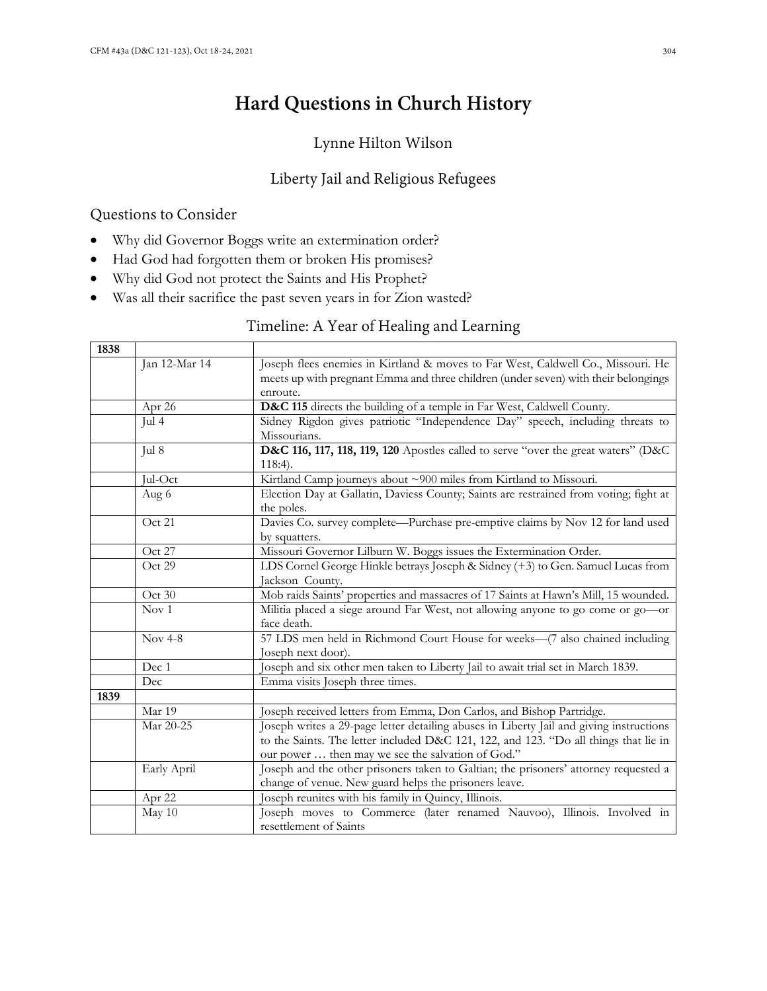# **Hard Questions in Church History**

# Lynne Hilton Wilson

### Liberty Jail and Religious Refugees

### Questions to Consider

- Why did Governor Boggs write an extermination order?
- Had God had forgotten them or broken His promises?
- Why did God not protect the Saints and His Prophet?
- Was all their sacrifice the past seven years in for Zion wasted?

### Timeline: A Year of Healing and Learning

| 1838 |                  |                                                                                         |
|------|------------------|-----------------------------------------------------------------------------------------|
|      | Jan 12-Mar 14    | Joseph flees enemies in Kirtland & moves to Far West, Caldwell Co., Missouri. He        |
|      |                  | meets up with pregnant Emma and three children (under seven) with their belongings      |
|      |                  | enroute.                                                                                |
|      | Apr 26           | D&C 115 directs the building of a temple in Far West, Caldwell County.                  |
|      | Jul 4            | Sidney Rigdon gives patriotic "Independence Day" speech, including threats to           |
|      |                  | Missourians.                                                                            |
|      | Jul 8            | D&C 116, 117, 118, 119, 120 Apostles called to serve "over the great waters" (D&C       |
|      |                  | $118:4$ .                                                                               |
|      | Jul-Oct          | Kirtland Camp journeys about ~900 miles from Kirtland to Missouri.                      |
|      | Aug 6            | Election Day at Gallatin, Daviess County; Saints are restrained from voting; fight at   |
|      |                  | the poles.                                                                              |
|      | Oct 21           | Davies Co. survey complete—Purchase pre-emptive claims by Nov 12 for land used          |
|      |                  | by squatters.                                                                           |
|      | Oct 27           | Missouri Governor Lilburn W. Boggs issues the Extermination Order.                      |
|      | Oct 29           | LDS Cornel George Hinkle betrays Joseph & Sidney (+3) to Gen. Samuel Lucas from         |
|      |                  | Jackson County.                                                                         |
|      | Oct 30           | Mob raids Saints' properties and massacres of 17 Saints at Hawn's Mill, 15 wounded.     |
|      | Nov <sub>1</sub> | Militia placed a siege around Far West, not allowing anyone to go come or go-or         |
|      |                  | face death.                                                                             |
|      | <b>Nov 4-8</b>   | 57 LDS men held in Richmond Court House for weeks-(7 also chained including             |
|      |                  | Joseph next door).                                                                      |
|      | Dec 1            | Joseph and six other men taken to Liberty Jail to await trial set in March 1839.        |
|      | Dec              | Emma visits Joseph three times.                                                         |
| 1839 |                  |                                                                                         |
|      | Mar 19           | Joseph received letters from Emma, Don Carlos, and Bishop Partridge.                    |
|      | Mar 20-25        | Joseph writes a 29-page letter detailing abuses in Liberty Jail and giving instructions |
|      |                  | to the Saints. The letter included D&C 121, 122, and 123. "Do all things that lie in    |
|      |                  | our power  then may we see the salvation of God."                                       |
|      | Early April      | Joseph and the other prisoners taken to Galtian; the prisoners' attorney requested a    |
|      |                  | change of venue. New guard helps the prisoners leave.                                   |
|      | Apr 22           | Joseph reunites with his family in Quincy, Illinois.                                    |
|      | May $10$         | Joseph moves to Commerce (later renamed Nauvoo), Illinois. Involved in                  |
|      |                  | resettlement of Saints                                                                  |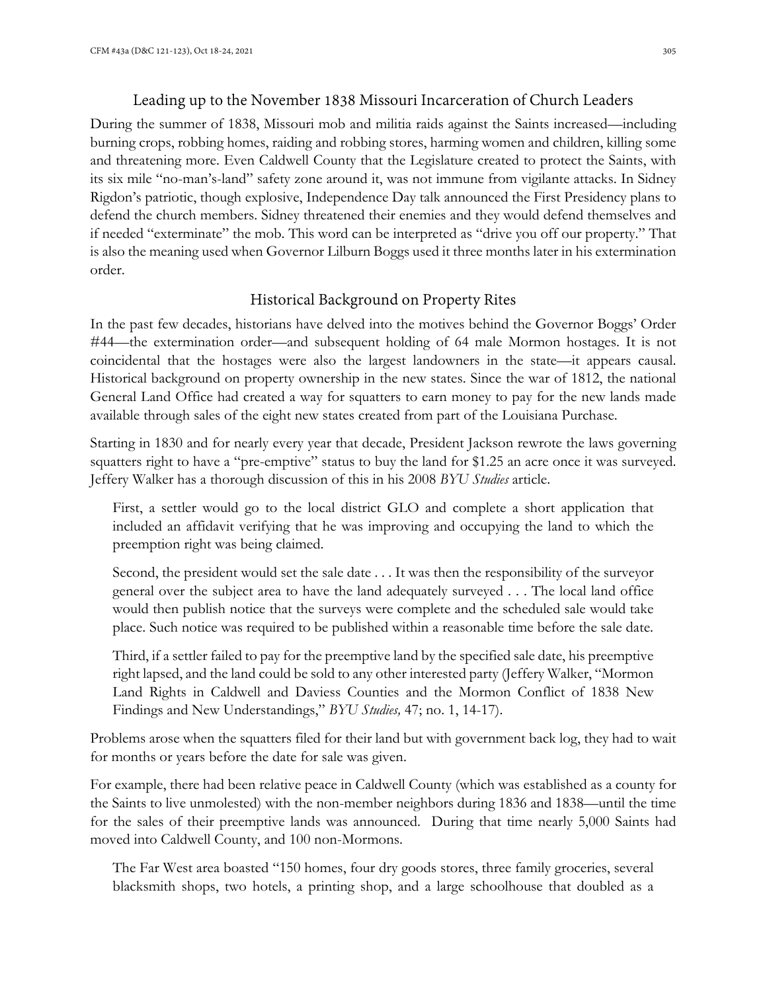#### Leading up to the November 1838 Missouri Incarceration of Church Leaders

During the summer of 1838, Missouri mob and militia raids against the Saints increased—including burning crops, robbing homes, raiding and robbing stores, harming women and children, killing some and threatening more. Even Caldwell County that the Legislature created to protect the Saints, with its six mile "no-man's-land" safety zone around it, was not immune from vigilante attacks. In Sidney Rigdon's patriotic, though explosive, Independence Day talk announced the First Presidency plans to defend the church members. Sidney threatened their enemies and they would defend themselves and if needed "exterminate" the mob. This word can be interpreted as "drive you off our property." That is also the meaning used when Governor Lilburn Boggs used it three months later in his extermination order.

#### Historical Background on Property Rites

In the past few decades, historians have delved into the motives behind the Governor Boggs' Order #44—the extermination order—and subsequent holding of 64 male Mormon hostages. It is not coincidental that the hostages were also the largest landowners in the state—it appears causal. Historical background on property ownership in the new states. Since the war of 1812, the national General Land Office had created a way for squatters to earn money to pay for the new lands made available through sales of the eight new states created from part of the Louisiana Purchase.

Starting in 1830 and for nearly every year that decade, President Jackson rewrote the laws governing squatters right to have a "pre-emptive" status to buy the land for \$1.25 an acre once it was surveyed. Jeffery Walker has a thorough discussion of this in his 2008 *BYU Studies* article.

First, a settler would go to the local district GLO and complete a short application that included an affidavit verifying that he was improving and occupying the land to which the preemption right was being claimed.

Second, the president would set the sale date . . . It was then the responsibility of the surveyor general over the subject area to have the land adequately surveyed . . . The local land office would then publish notice that the surveys were complete and the scheduled sale would take place. Such notice was required to be published within a reasonable time before the sale date.

Third, if a settler failed to pay for the preemptive land by the specified sale date, his preemptive right lapsed, and the land could be sold to any other interested party (Jeffery Walker, "Mormon Land Rights in Caldwell and Daviess Counties and the Mormon Conflict of 1838 New Findings and New Understandings," *BYU Studies,* 47; no. 1, 14-17).

Problems arose when the squatters filed for their land but with government back log, they had to wait for months or years before the date for sale was given.

For example, there had been relative peace in Caldwell County (which was established as a county for the Saints to live unmolested) with the non-member neighbors during 1836 and 1838—until the time for the sales of their preemptive lands was announced. During that time nearly 5,000 Saints had moved into Caldwell County, and 100 non-Mormons.

The Far West area boasted "150 homes, four dry goods stores, three family groceries, several blacksmith shops, two hotels, a printing shop, and a large schoolhouse that doubled as a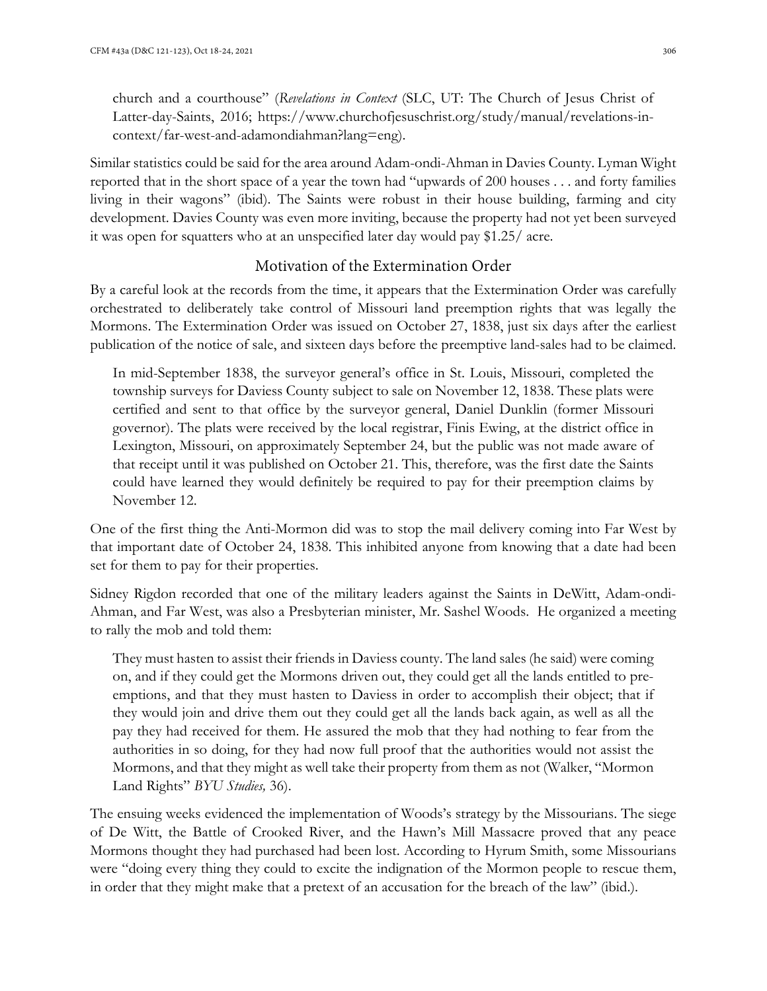church and a courthouse" (*Revelations in Context* (SLC, UT: The Church of Jesus Christ of Latter-day-Saints, 2016; https://www.churchofjesuschrist.org/study/manual/revelations-incontext/far-west-and-adamondiahman?lang=eng).

Similar statistics could be said for the area around Adam-ondi-Ahman in Davies County. Lyman Wight reported that in the short space of a year the town had "upwards of 200 houses . . . and forty families living in their wagons" (ibid). The Saints were robust in their house building, farming and city development. Davies County was even more inviting, because the property had not yet been surveyed it was open for squatters who at an unspecified later day would pay \$1.25/ acre.

#### Motivation of the Extermination Order

By a careful look at the records from the time, it appears that the Extermination Order was carefully orchestrated to deliberately take control of Missouri land preemption rights that was legally the Mormons. The Extermination Order was issued on October 27, 1838, just six days after the earliest publication of the notice of sale, and sixteen days before the preemptive land-sales had to be claimed.

In mid-September 1838, the surveyor general's office in St. Louis, Missouri, completed the township surveys for Daviess County subject to sale on November 12, 1838. These plats were certified and sent to that office by the surveyor general, Daniel Dunklin (former Missouri governor). The plats were received by the local registrar, Finis Ewing, at the district office in Lexington, Missouri, on approximately September 24, but the public was not made aware of that receipt until it was published on October 21. This, therefore, was the first date the Saints could have learned they would definitely be required to pay for their preemption claims by November 12.

One of the first thing the Anti-Mormon did was to stop the mail delivery coming into Far West by that important date of October 24, 1838. This inhibited anyone from knowing that a date had been set for them to pay for their properties.

Sidney Rigdon recorded that one of the military leaders against the Saints in DeWitt, Adam-ondi-Ahman, and Far West, was also a Presbyterian minister, Mr. Sashel Woods. He organized a meeting to rally the mob and told them:

They must hasten to assist their friends in Daviess county. The land sales (he said) were coming on, and if they could get the Mormons driven out, they could get all the lands entitled to preemptions, and that they must hasten to Daviess in order to accomplish their object; that if they would join and drive them out they could get all the lands back again, as well as all the pay they had received for them. He assured the mob that they had nothing to fear from the authorities in so doing, for they had now full proof that the authorities would not assist the Mormons, and that they might as well take their property from them as not (Walker, "Mormon Land Rights" *BYU Studies,* 36).

The ensuing weeks evidenced the implementation of Woods's strategy by the Missourians. The siege of De Witt, the Battle of Crooked River, and the Hawn's Mill Massacre proved that any peace Mormons thought they had purchased had been lost. According to Hyrum Smith, some Missourians were "doing every thing they could to excite the indignation of the Mormon people to rescue them, in order that they might make that a pretext of an accusation for the breach of the law" (ibid.).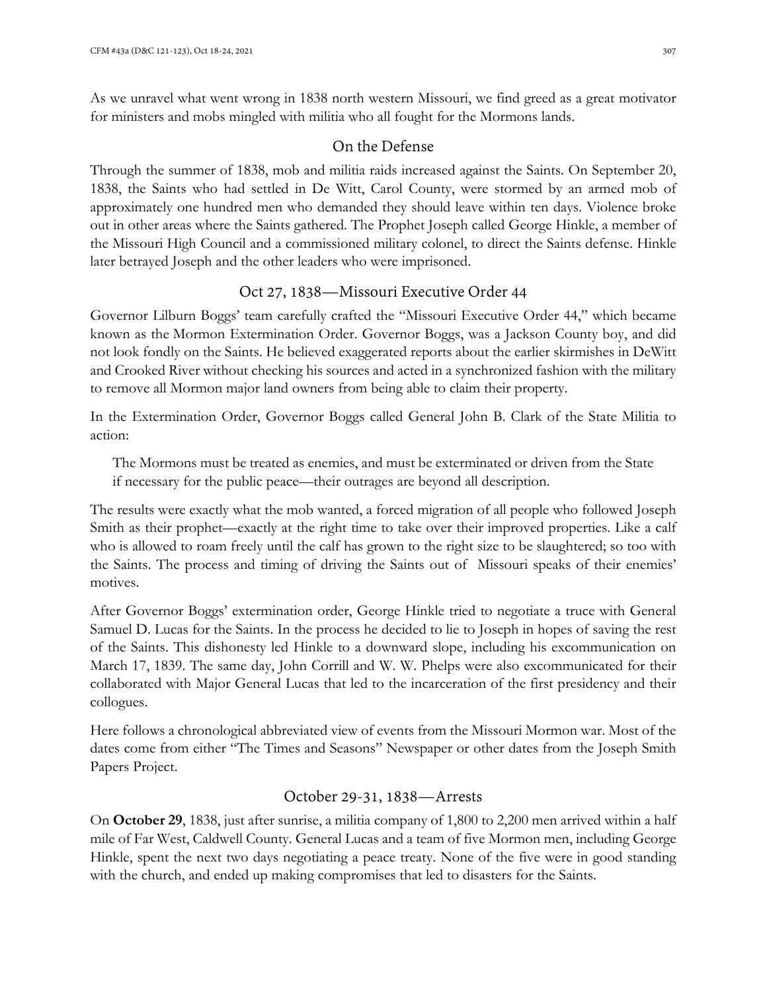As we unravel what went wrong in 1838 north western Missouri, we find greed as a great motivator for ministers and mobs mingled with militia who all fought for the Mormons lands.

#### On the Defense

Through the summer of 1838, mob and militia raids increased against the Saints. On September 20, 1838, the Saints who had settled in De Witt, Carol County, were stormed by an armed mob of approximately one hundred men who demanded they should leave within ten days. Violence broke out in other areas where the Saints gathered. The Prophet Joseph called George Hinkle, a member of the Missouri High Council and a commissioned military colonel, to direct the Saints defense. Hinkle later betrayed Joseph and the other leaders who were imprisoned.

### Oct 27, 1838—Missouri Executive Order 44

Governor Lilburn Boggs' team carefully crafted the "Missouri Executive Order 44," which became known as the Mormon Extermination Order. Governor Boggs, was a Jackson County boy, and did not look fondly on the Saints. He believed exaggerated reports about the earlier skirmishes in DeWitt and Crooked River without checking his sources and acted in a synchronized fashion with the military to remove all Mormon major land owners from being able to claim their property.

In the Extermination Order, Governor Boggs called General John B. Clark of the State Militia to action:

The Mormons must be treated as enemies, and must be exterminated or driven from the State if necessary for the public peace—their outrages are beyond all description.

The results were exactly what the mob wanted, a forced migration of all people who followed Joseph Smith as their prophet—exactly at the right time to take over their improved properties. Like a calf who is allowed to roam freely until the calf has grown to the right size to be slaughtered; so too with the Saints. The process and timing of driving the Saints out of Missouri speaks of their enemies' motives.

After Governor Boggs' extermination order, George Hinkle tried to negotiate a truce with General Samuel D. Lucas for the Saints. In the process he decided to lie to Joseph in hopes of saving the rest of the Saints. This dishonesty led Hinkle to a downward slope, including his excommunication on March 17, 1839. The same day, John Corrill and W. W. Phelps were also excommunicated for their collaborated with Major General Lucas that led to the incarceration of the first presidency and their collogues.

Here follows a chronological abbreviated view of events from the Missouri Mormon war. Most of the dates come from either "The Times and Seasons" Newspaper or other dates from the Joseph Smith Papers Project.

### October 29-31, 1838—Arrests

On **October 29**, 1838, just after sunrise, a militia company of 1,800 to 2,200 men arrived within a half mile of Far West, Caldwell County. General Lucas and a team of five Mormon men, including George Hinkle, spent the next two days negotiating a peace treaty. None of the five were in good standing with the church, and ended up making compromises that led to disasters for the Saints.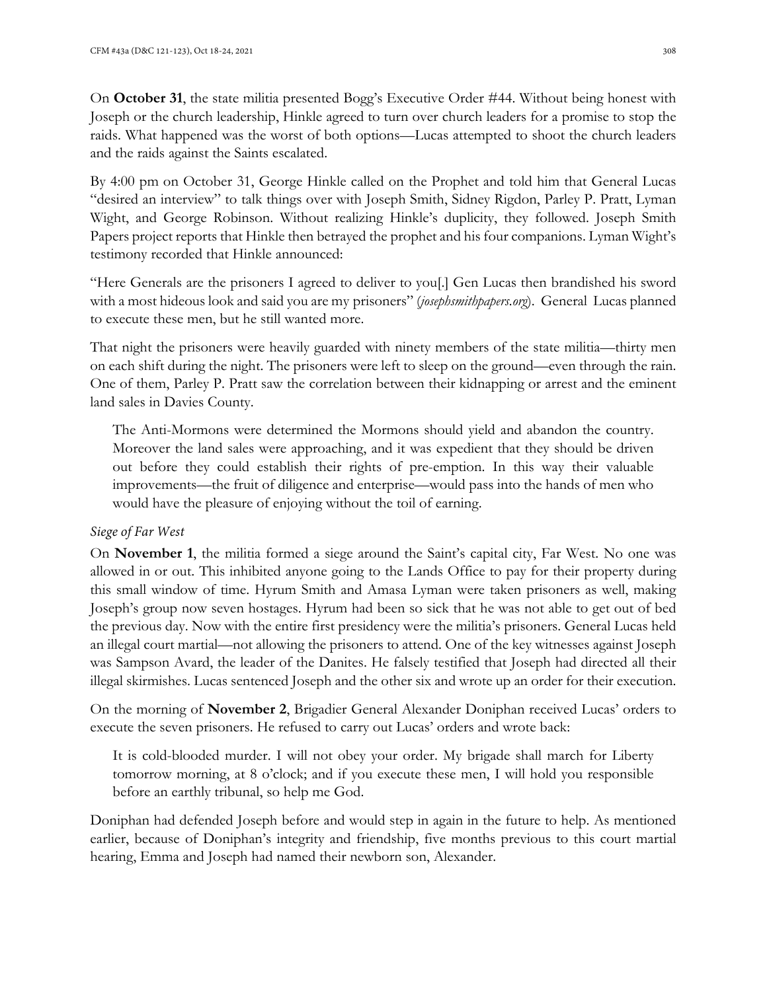On **October 31**, the state militia presented Bogg's Executive Order #44. Without being honest with Joseph or the church leadership, Hinkle agreed to turn over church leaders for a promise to stop the raids. What happened was the worst of both options—Lucas attempted to shoot the church leaders and the raids against the Saints escalated.

By 4:00 pm on October 31, George Hinkle called on the Prophet and told him that General Lucas "desired an interview" to talk things over with Joseph Smith, Sidney Rigdon, Parley P. Pratt, Lyman Wight, and George Robinson. Without realizing Hinkle's duplicity, they followed. Joseph Smith Papers project reports that Hinkle then betrayed the prophet and his four companions. Lyman Wight's testimony recorded that Hinkle announced:

"Here Generals are the prisoners I agreed to deliver to you[.] Gen Lucas then brandished his sword with a most hideous look and said you are my prisoners" (*josephsmithpapers.org*). General Lucas planned to execute these men, but he still wanted more.

That night the prisoners were heavily guarded with ninety members of the state militia—thirty men on each shift during the night. The prisoners were left to sleep on the ground—even through the rain. One of them, Parley P. Pratt saw the correlation between their kidnapping or arrest and the eminent land sales in Davies County.

The Anti-Mormons were determined the Mormons should yield and abandon the country. Moreover the land sales were approaching, and it was expedient that they should be driven out before they could establish their rights of pre-emption. In this way their valuable improvements—the fruit of diligence and enterprise—would pass into the hands of men who would have the pleasure of enjoying without the toil of earning.

#### *Siege of Far West*

On **November 1**, the militia formed a siege around the Saint's capital city, Far West. No one was allowed in or out. This inhibited anyone going to the Lands Office to pay for their property during this small window of time. Hyrum Smith and Amasa Lyman were taken prisoners as well, making Joseph's group now seven hostages. Hyrum had been so sick that he was not able to get out of bed the previous day. Now with the entire first presidency were the militia's prisoners. General Lucas held an illegal court martial—not allowing the prisoners to attend. One of the key witnesses against Joseph was Sampson Avard, the leader of the Danites. He falsely testified that Joseph had directed all their illegal skirmishes. Lucas sentenced Joseph and the other six and wrote up an order for their execution.

On the morning of **November 2**, Brigadier General Alexander Doniphan received Lucas' orders to execute the seven prisoners. He refused to carry out Lucas' orders and wrote back:

It is cold-blooded murder. I will not obey your order. My brigade shall march for Liberty tomorrow morning, at 8 o'clock; and if you execute these men, I will hold you responsible before an earthly tribunal, so help me God.

Doniphan had defended Joseph before and would step in again in the future to help. As mentioned earlier, because of Doniphan's integrity and friendship, five months previous to this court martial hearing, Emma and Joseph had named their newborn son, Alexander.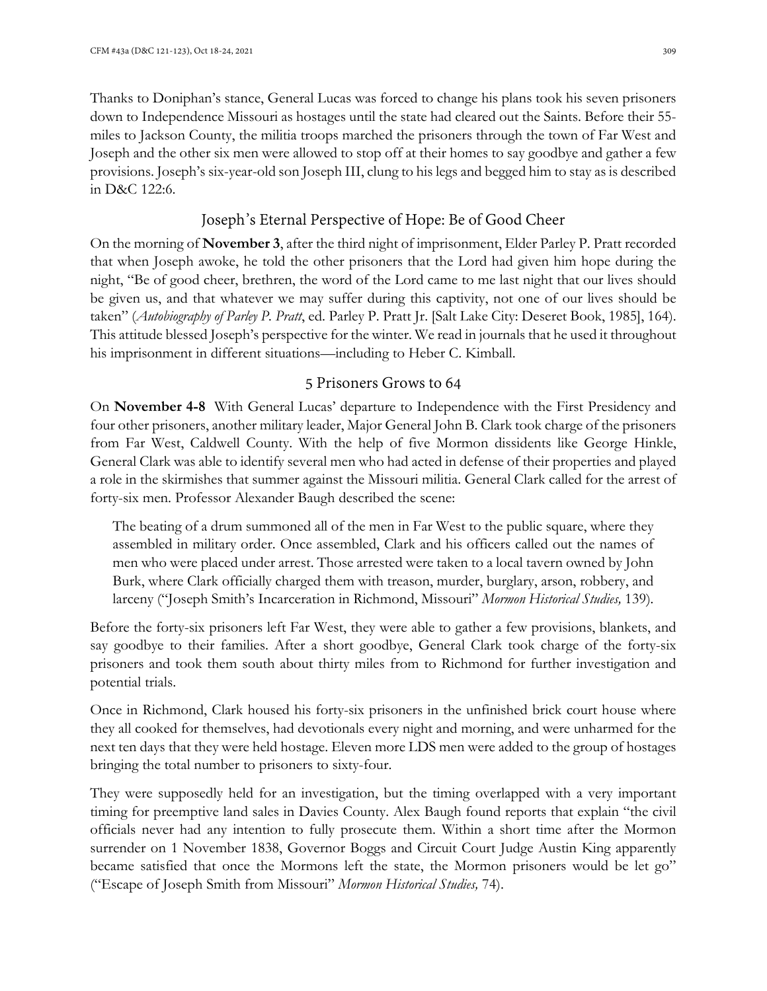Thanks to Doniphan's stance, General Lucas was forced to change his plans took his seven prisoners down to Independence Missouri as hostages until the state had cleared out the Saints. Before their 55 miles to Jackson County, the militia troops marched the prisoners through the town of Far West and Joseph and the other six men were allowed to stop off at their homes to say goodbye and gather a few provisions. Joseph's six-year-old son Joseph III, clung to his legs and begged him to stay as is described in D&C 122:6.

# Joseph's Eternal Perspective of Hope: Be of Good Cheer

On the morning of **November 3**, after the third night of imprisonment, Elder Parley P. Pratt recorded that when Joseph awoke, he told the other prisoners that the Lord had given him hope during the night, "Be of good cheer, brethren, the word of the Lord came to me last night that our lives should be given us, and that whatever we may suffer during this captivity, not one of our lives should be taken" (*Autobiography of Parley P. Pratt*, ed. Parley P. Pratt Jr. [Salt Lake City: Deseret Book, 1985], 164). This attitude blessed Joseph's perspective for the winter. We read in journals that he used it throughout his imprisonment in different situations—including to Heber C. Kimball.

### 5 Prisoners Grows to 64

On **November 4-8** With General Lucas' departure to Independence with the First Presidency and four other prisoners, another military leader, Major General John B. Clark took charge of the prisoners from Far West, Caldwell County. With the help of five Mormon dissidents like George Hinkle, General Clark was able to identify several men who had acted in defense of their properties and played a role in the skirmishes that summer against the Missouri militia. General Clark called for the arrest of forty-six men. Professor Alexander Baugh described the scene:

The beating of a drum summoned all of the men in Far West to the public square, where they assembled in military order. Once assembled, Clark and his officers called out the names of men who were placed under arrest. Those arrested were taken to a local tavern owned by John Burk, where Clark officially charged them with treason, murder, burglary, arson, robbery, and larceny ("Joseph Smith's Incarceration in Richmond, Missouri" *Mormon Historical Studies,* 139)*.* 

Before the forty-six prisoners left Far West, they were able to gather a few provisions, blankets, and say goodbye to their families. After a short goodbye, General Clark took charge of the forty-six prisoners and took them south about thirty miles from to Richmond for further investigation and potential trials.

Once in Richmond, Clark housed his forty-six prisoners in the unfinished brick court house where they all cooked for themselves, had devotionals every night and morning, and were unharmed for the next ten days that they were held hostage. Eleven more LDS men were added to the group of hostages bringing the total number to prisoners to sixty-four.

They were supposedly held for an investigation, but the timing overlapped with a very important timing for preemptive land sales in Davies County. Alex Baugh found reports that explain "the civil officials never had any intention to fully prosecute them. Within a short time after the Mormon surrender on 1 November 1838, Governor Boggs and Circuit Court Judge Austin King apparently became satisfied that once the Mormons left the state, the Mormon prisoners would be let go" ("Escape of Joseph Smith from Missouri" *Mormon Historical Studies,* 74).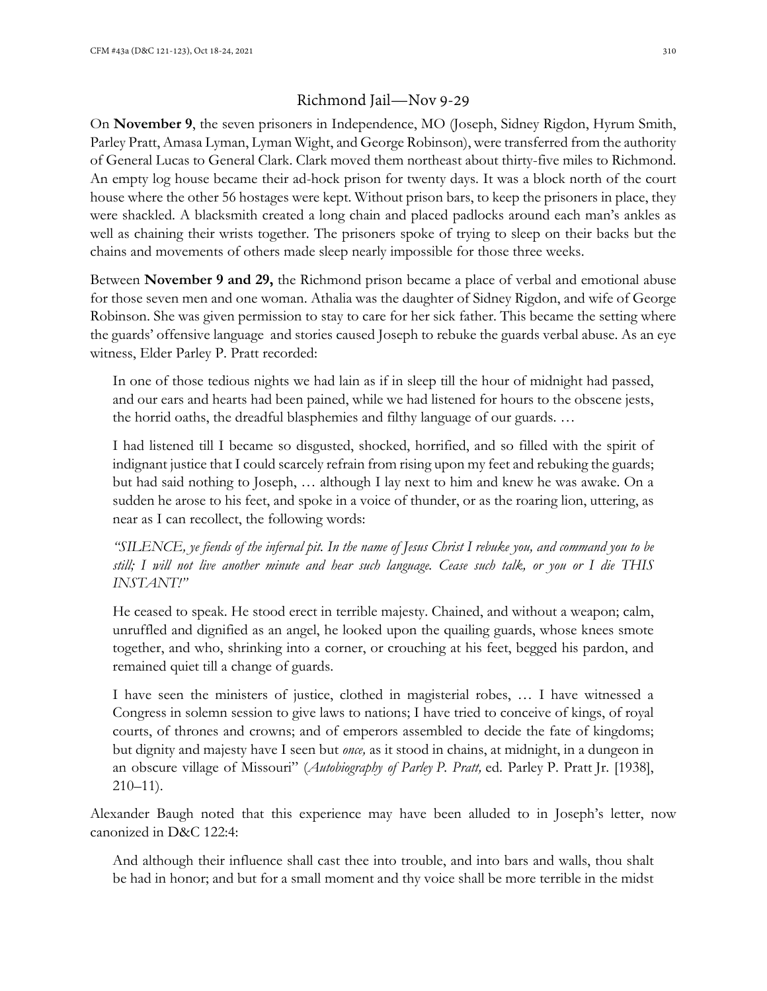### Richmond Jail—Nov 9-29

On **November 9**, the seven prisoners in Independence, MO (Joseph, Sidney Rigdon, Hyrum Smith, Parley Pratt, Amasa Lyman, Lyman Wight, and George Robinson), were transferred from the authority of General Lucas to General Clark. Clark moved them northeast about thirty-five miles to Richmond. An empty log house became their ad-hock prison for twenty days. It was a block north of the court house where the other 56 hostages were kept. Without prison bars, to keep the prisoners in place, they were shackled. A blacksmith created a long chain and placed padlocks around each man's ankles as well as chaining their wrists together. The prisoners spoke of trying to sleep on their backs but the chains and movements of others made sleep nearly impossible for those three weeks.

Between **November 9 and 29,** the Richmond prison became a place of verbal and emotional abuse for those seven men and one woman. Athalia was the daughter of Sidney Rigdon, and wife of George Robinson. She was given permission to stay to care for her sick father. This became the setting where the guards' offensive language and stories caused Joseph to rebuke the guards verbal abuse. As an eye witness, Elder Parley P. Pratt recorded:

In one of those tedious nights we had lain as if in sleep till the hour of midnight had passed, and our ears and hearts had been pained, while we had listened for hours to the obscene jests, the horrid oaths, the dreadful blasphemies and filthy language of our guards. …

I had listened till I became so disgusted, shocked, horrified, and so filled with the spirit of indignant justice that I could scarcely refrain from rising upon my feet and rebuking the guards; but had said nothing to Joseph, … although I lay next to him and knew he was awake. On a sudden he arose to his feet, and spoke in a voice of thunder, or as the roaring lion, uttering, as near as I can recollect, the following words:

*"SILENCE, ye fiends of the infernal pit. In the name of Jesus Christ I rebuke you, and command you to be still; I will not live another minute and hear such language. Cease such talk, or you or I die THIS INSTANT!"*

He ceased to speak. He stood erect in terrible majesty. Chained, and without a weapon; calm, unruffled and dignified as an angel, he looked upon the quailing guards, whose knees smote together, and who, shrinking into a corner, or crouching at his feet, begged his pardon, and remained quiet till a change of guards.

I have seen the ministers of justice, clothed in magisterial robes, … I have witnessed a Congress in solemn session to give laws to nations; I have tried to conceive of kings, of royal courts, of thrones and crowns; and of emperors assembled to decide the fate of kingdoms; but dignity and majesty have I seen but *once,* as it stood in chains, at midnight, in a dungeon in an obscure village of Missouri" (*Autobiography of Parley P. Pratt,* ed. Parley P. Pratt Jr. [1938], 210–11).

Alexander Baugh noted that this experience may have been alluded to in Joseph's letter, now canonized in D&C 122:4:

And although their influence shall cast thee into trouble, and into bars and walls, thou shalt be had in honor; and but for a small moment and thy voice shall be more terrible in the midst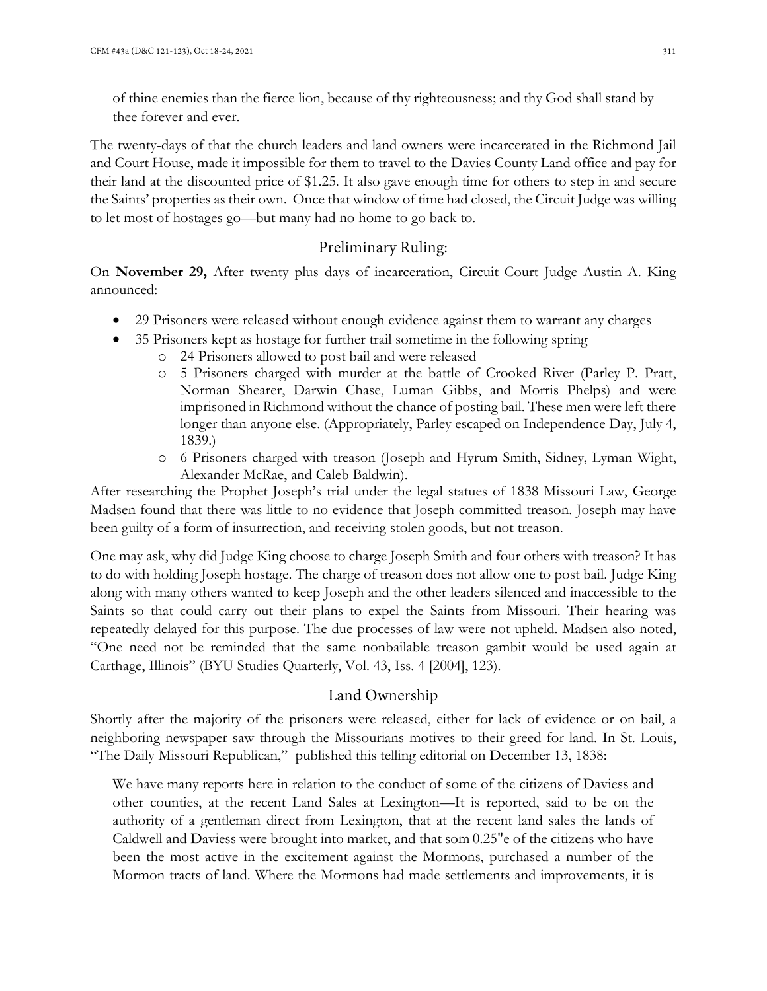of thine enemies than the fierce lion, because of thy righteousness; and thy God shall stand by thee forever and ever.

The twenty-days of that the church leaders and land owners were incarcerated in the Richmond Jail and Court House, made it impossible for them to travel to the Davies County Land office and pay for their land at the discounted price of \$1.25. It also gave enough time for others to step in and secure the Saints' properties as their own. Once that window of time had closed, the Circuit Judge was willing to let most of hostages go—but many had no home to go back to.

### Preliminary Ruling:

On **November 29,** After twenty plus days of incarceration, Circuit Court Judge Austin A. King announced:

- 29 Prisoners were released without enough evidence against them to warrant any charges
- 35 Prisoners kept as hostage for further trail sometime in the following spring
	- o 24 Prisoners allowed to post bail and were released
	- o 5 Prisoners charged with murder at the battle of Crooked River (Parley P. Pratt, Norman Shearer, Darwin Chase, Luman Gibbs, and Morris Phelps) and were imprisoned in Richmond without the chance of posting bail. These men were left there longer than anyone else. (Appropriately, Parley escaped on Independence Day, July 4, 1839.)
	- o 6 Prisoners charged with treason (Joseph and Hyrum Smith, Sidney, Lyman Wight, Alexander McRae, and Caleb Baldwin).

After researching the Prophet Joseph's trial under the legal statues of 1838 Missouri Law, George Madsen found that there was little to no evidence that Joseph committed treason. Joseph may have been guilty of a form of insurrection, and receiving stolen goods, but not treason.

One may ask, why did Judge King choose to charge Joseph Smith and four others with treason? It has to do with holding Joseph hostage. The charge of treason does not allow one to post bail. Judge King along with many others wanted to keep Joseph and the other leaders silenced and inaccessible to the Saints so that could carry out their plans to expel the Saints from Missouri. Their hearing was repeatedly delayed for this purpose. The due processes of law were not upheld. Madsen also noted, "One need not be reminded that the same nonbailable treason gambit would be used again at Carthage, Illinois" (BYU Studies Quarterly, Vol. 43, Iss. 4 [2004], 123).

### Land Ownership

Shortly after the majority of the prisoners were released, either for lack of evidence or on bail, a neighboring newspaper saw through the Missourians motives to their greed for land. In St. Louis, "The Daily Missouri Republican," published this telling editorial on December 13, 1838:

We have many reports here in relation to the conduct of some of the citizens of Daviess and other counties, at the recent Land Sales at Lexington—It is reported, said to be on the authority of a gentleman direct from Lexington, that at the recent land sales the lands of Caldwell and Daviess were brought into market, and that som 0.25"e of the citizens who have been the most active in the excitement against the Mormons, purchased a number of the Mormon tracts of land. Where the Mormons had made settlements and improvements, it is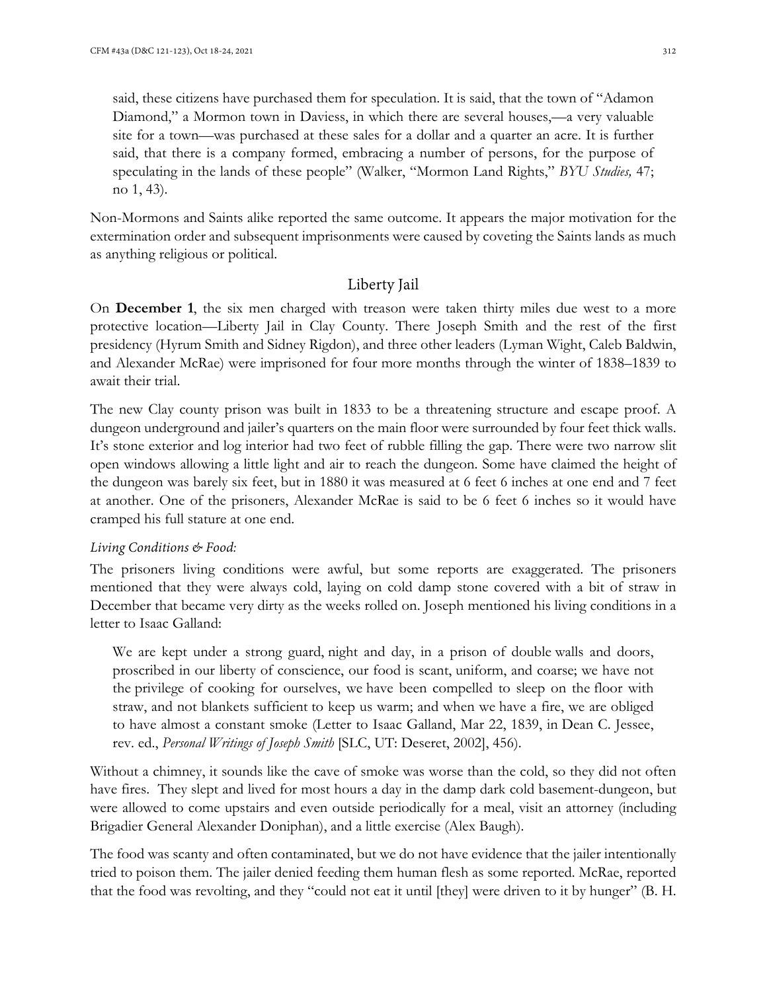said, these citizens have purchased them for speculation. It is said, that the town of "Adamon Diamond," a Mormon town in Daviess, in which there are several houses,—a very valuable site for a town—was purchased at these sales for a dollar and a quarter an acre. It is further said, that there is a company formed, embracing a number of persons, for the purpose of speculating in the lands of these people" (Walker, "Mormon Land Rights," *BYU Studies,* 47; no 1, 43).

Non-Mormons and Saints alike reported the same outcome. It appears the major motivation for the extermination order and subsequent imprisonments were caused by coveting the Saints lands as much as anything religious or political.

#### Liberty Jail

On **December 1**, the six men charged with treason were taken thirty miles due west to a more protective location—Liberty Jail in Clay County. There Joseph Smith and the rest of the first presidency (Hyrum Smith and Sidney Rigdon), and three other leaders (Lyman Wight, Caleb Baldwin, and Alexander McRae) were imprisoned for four more months through the winter of 1838–1839 to await their trial.

The new Clay county prison was built in 1833 to be a threatening structure and escape proof. A dungeon underground and jailer's quarters on the main floor were surrounded by four feet thick walls. It's stone exterior and log interior had two feet of rubble filling the gap. There were two narrow slit open windows allowing a little light and air to reach the dungeon. Some have claimed the height of the dungeon was barely six feet, but in 1880 it was measured at 6 feet 6 inches at one end and 7 feet at another. One of the prisoners, Alexander McRae is said to be 6 feet 6 inches so it would have cramped his full stature at one end.

#### *Living Conditions & Food:*

The prisoners living conditions were awful, but some reports are exaggerated. The prisoners mentioned that they were always cold, laying on cold damp stone covered with a bit of straw in December that became very dirty as the weeks rolled on. Joseph mentioned his living conditions in a letter to Isaac Galland:

We are kept under a strong guard, night and day, in a prison of double walls and doors, proscribed in our liberty of conscience, our food is scant, uniform, and coarse; we have not the privilege of cooking for ourselves, we have been compelled to sleep on the floor with straw, and not blankets sufficient to keep us warm; and when we have a fire, we are obliged to have almost a constant smoke (Letter to Isaac Galland, Mar 22, 1839, in Dean C. Jessee, rev. ed., *Personal Writings of Joseph Smith* [SLC, UT: Deseret, 2002], 456).

Without a chimney, it sounds like the cave of smoke was worse than the cold, so they did not often have fires. They slept and lived for most hours a day in the damp dark cold basement-dungeon, but were allowed to come upstairs and even outside periodically for a meal, visit an attorney (including Brigadier General Alexander Doniphan), and a little exercise (Alex Baugh).

The food was scanty and often contaminated, but we do not have evidence that the jailer intentionally tried to poison them. The jailer denied feeding them human flesh as some reported. McRae, reported that the food was revolting, and they "could not eat it until [they] were driven to it by hunger" (B. H.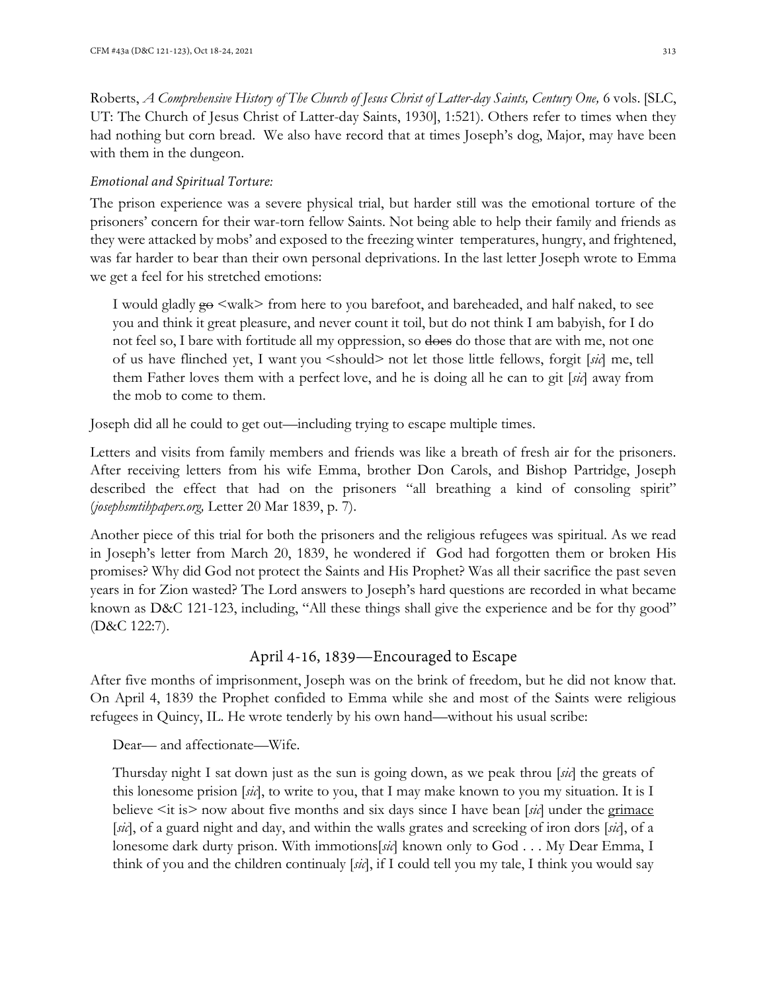Roberts, *A Comprehensive History of The Church of Jesus Christ of Latter-day Saints, Century One,* 6 vols. [SLC, UT: The Church of Jesus Christ of Latter-day Saints, 1930], 1:521). Others refer to times when they had nothing but corn bread. We also have record that at times Joseph's dog, Major, may have been with them in the dungeon.

#### *Emotional and Spiritual Torture:*

The prison experience was a severe physical trial, but harder still was the emotional torture of the prisoners' concern for their war-torn fellow Saints. Not being able to help their family and friends as they were attacked by mobs' and exposed to the freezing winter temperatures, hungry, and frightened, was far harder to bear than their own personal deprivations. In the last letter Joseph wrote to Emma we get a feel for his stretched emotions:

I would gladly  $g_{\Theta}$  <walk> from here to you barefoot, and bareheaded, and half naked, to see you and think it great pleasure, and never count it toil, but do not think I am babyish, for I do not feel so, I bare with fortitude all my oppression, so does do those that are with me, not one of us have flinched yet, I want you <should> not let those little fellows, forgit [*sic*] me, tell them Father loves them with a perfect love, and he is doing all he can to git [*sic*] away from the mob to come to them.

Joseph did all he could to get out—including trying to escape multiple times.

Letters and visits from family members and friends was like a breath of fresh air for the prisoners. After receiving letters from his wife Emma, brother Don Carols, and Bishop Partridge, Joseph described the effect that had on the prisoners "all breathing a kind of consoling spirit" (*josephsmtihpapers.org,* Letter 20 Mar 1839, p. 7).

Another piece of this trial for both the prisoners and the religious refugees was spiritual. As we read in Joseph's letter from March 20, 1839, he wondered if God had forgotten them or broken His promises? Why did God not protect the Saints and His Prophet? Was all their sacrifice the past seven years in for Zion wasted? The Lord answers to Joseph's hard questions are recorded in what became known as D&C 121-123, including, "All these things shall give the experience and be for thy good" (D&C 122:7).

#### April 4-16, 1839—Encouraged to Escape

After five months of imprisonment, Joseph was on the brink of freedom, but he did not know that. On April 4, 1839 the Prophet confided to Emma while she and most of the Saints were religious refugees in Quincy, IL. He wrote tenderly by his own hand—without his usual scribe:

Dear— and affectionate—Wife.

Thursday night I sat down just as the sun is going down, as we peak throu [*sic*] the greats of this lonesome prision [*sic*], to write to you, that I may make known to you my situation. It is I believe  $\leq$ it is> now about five months and six days since I have bean [*sic*] under the grimace [*sic*], of a guard night and day, and within the walls grates and screeking of iron dors [*sic*], of a lonesome dark durty prison. With immotions[*sic*] known only to God . . . My Dear Emma, I think of you and the children continualy [*sic*], if I could tell you my tale, I think you would say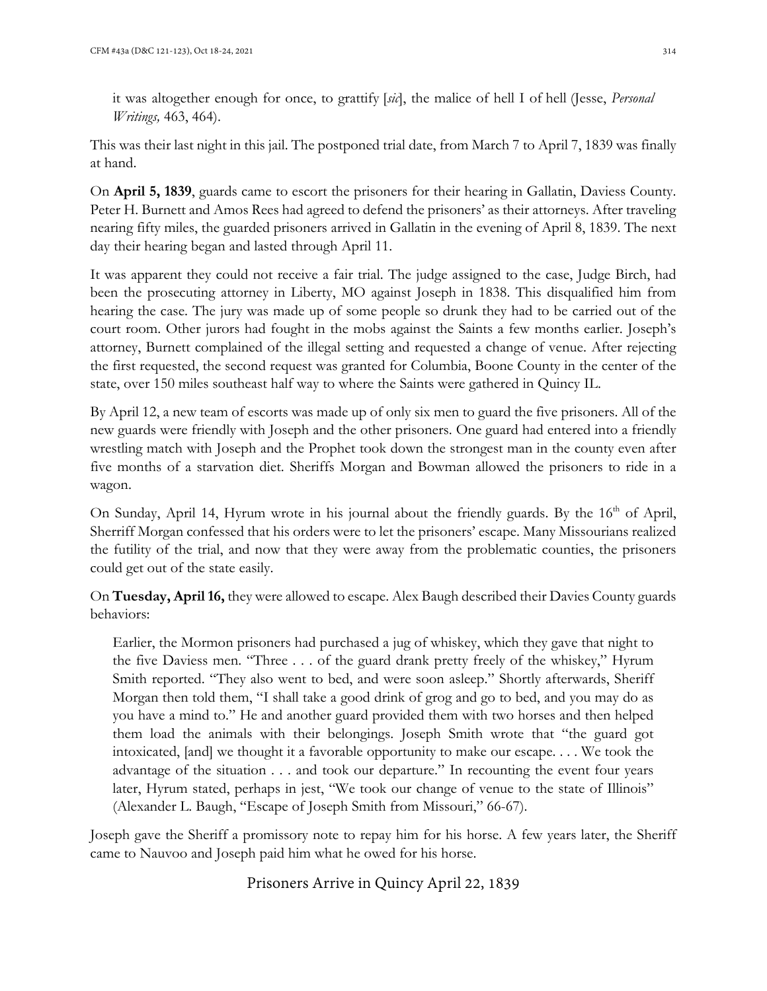it was altogether enough for once, to grattify [*sic*], the malice of hell I of hell (Jesse, *Personal Writings,* 463, 464).

This was their last night in this jail. The postponed trial date, from March 7 to April 7, 1839 was finally at hand.

On **April 5, 1839**, guards came to escort the prisoners for their hearing in Gallatin, Daviess County. Peter H. Burnett and Amos Rees had agreed to defend the prisoners' as their attorneys. After traveling nearing fifty miles, the guarded prisoners arrived in Gallatin in the evening of April 8, 1839. The next day their hearing began and lasted through April 11.

It was apparent they could not receive a fair trial. The judge assigned to the case, Judge Birch, had been the prosecuting attorney in Liberty, MO against Joseph in 1838. This disqualified him from hearing the case. The jury was made up of some people so drunk they had to be carried out of the court room. Other jurors had fought in the mobs against the Saints a few months earlier. Joseph's attorney, Burnett complained of the illegal setting and requested a change of venue. After rejecting the first requested, the second request was granted for Columbia, Boone County in the center of the state, over 150 miles southeast half way to where the Saints were gathered in Quincy IL.

By April 12, a new team of escorts was made up of only six men to guard the five prisoners. All of the new guards were friendly with Joseph and the other prisoners. One guard had entered into a friendly wrestling match with Joseph and the Prophet took down the strongest man in the county even after five months of a starvation diet. Sheriffs Morgan and Bowman allowed the prisoners to ride in a wagon.

On Sunday, April 14, Hyrum wrote in his journal about the friendly guards. By the 16<sup>th</sup> of April, Sherriff Morgan confessed that his orders were to let the prisoners' escape. Many Missourians realized the futility of the trial, and now that they were away from the problematic counties, the prisoners could get out of the state easily.

On **Tuesday, April 16,** they were allowed to escape. Alex Baugh described their Davies County guards behaviors:

Earlier, the Mormon prisoners had purchased a jug of whiskey, which they gave that night to the five Daviess men. "Three . . . of the guard drank pretty freely of the whiskey," Hyrum Smith reported. "They also went to bed, and were soon asleep." Shortly afterwards, Sheriff Morgan then told them, "I shall take a good drink of grog and go to bed, and you may do as you have a mind to." He and another guard provided them with two horses and then helped them load the animals with their belongings. Joseph Smith wrote that "the guard got intoxicated, [and] we thought it a favorable opportunity to make our escape. . . . We took the advantage of the situation . . . and took our departure." In recounting the event four years later, Hyrum stated, perhaps in jest, "We took our change of venue to the state of Illinois" (Alexander L. Baugh, "Escape of Joseph Smith from Missouri," 66-67).

Joseph gave the Sheriff a promissory note to repay him for his horse. A few years later, the Sheriff came to Nauvoo and Joseph paid him what he owed for his horse.

# Prisoners Arrive in Quincy April 22, 1839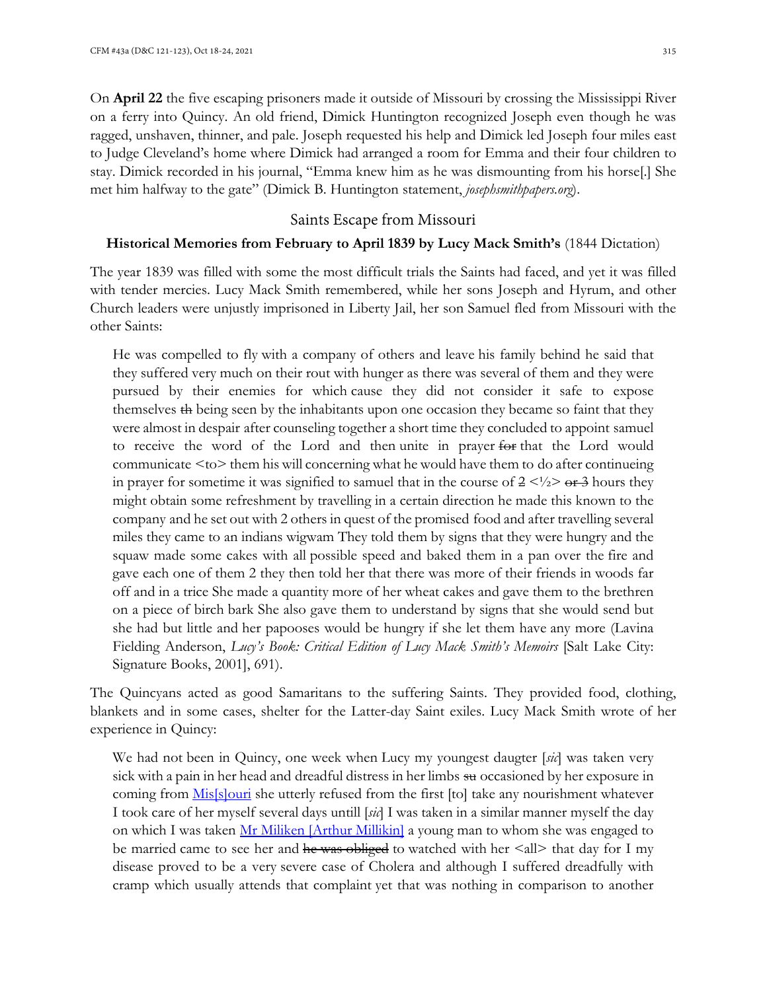On **April 22** the five escaping prisoners made it outside of Missouri by crossing the Mississippi River on a ferry into Quincy. An old friend, Dimick Huntington recognized Joseph even though he was ragged, unshaven, thinner, and pale. Joseph requested his help and Dimick led Joseph four miles east to Judge Cleveland's home where Dimick had arranged a room for Emma and their four children to stay. Dimick recorded in his journal, "Emma knew him as he was dismounting from his horse[.] She met him halfway to the gate" (Dimick B. Huntington statement, *josephsmithpapers.org*).

#### Saints Escape from Missouri

#### **Historical Memories from February to April 1839 by Lucy Mack Smith's** (1844 Dictation)

The year 1839 was filled with some the most difficult trials the Saints had faced, and yet it was filled with tender mercies. Lucy Mack Smith remembered, while her sons Joseph and Hyrum, and other Church leaders were unjustly imprisoned in Liberty Jail, her son Samuel fled from Missouri with the other Saints:

He was compelled to fly with a company of others and leave his family behind he said that they suffered very much on their rout with hunger as there was several of them and they were pursued by their enemies for which cause they did not consider it safe to expose themselves th being seen by the inhabitants upon one occasion they became so faint that they were almost in despair after counseling together a short time they concluded to appoint samuel to receive the word of the Lord and then unite in prayer for that the Lord would communicate <to> them his will concerning what he would have them to do after continueing in prayer for sometime it was signified to samuel that in the course of  $2 \lt 1/2$  or 3 hours they might obtain some refreshment by travelling in a certain direction he made this known to the company and he set out with 2 others in quest of the promised food and after travelling several miles they came to an indians wigwam They told them by signs that they were hungry and the squaw made some cakes with all possible speed and baked them in a pan over the fire and gave each one of them 2 they then told her that there was more of their friends in woods far off and in a trice She made a quantity more of her wheat cakes and gave them to the brethren on a piece of birch bark She also gave them to understand by signs that she would send but she had but little and her papooses would be hungry if she let them have any more (Lavina Fielding Anderson, *Lucy's Book: Critical Edition of Lucy Mack Smith's Memoirs* [Salt Lake City: Signature Books, 2001], 691).

The Quincyans acted as good Samaritans to the suffering Saints. They provided food, clothing, blankets and in some cases, shelter for the Latter-day Saint exiles. Lucy Mack Smith wrote of her experience in Quincy:

We had not been in Quincy, one week when Lucy my youngest daugter [*sic*] was taken very sick with a pain in her head and dreadful distress in her limbs su occasioned by her exposure in coming from *Mis[s]ouri* she utterly refused from the first [to] take any nourishment whatever I took care of her myself several days untill [*sic*] I was taken in a similar manner myself the day on which I was taken Mr Miliken [Arthur Millikin] a young man to whom she was engaged to be married came to see her and he was obliged to watched with her  $\leq$ all> that day for I my disease proved to be a very severe case of Cholera and although I suffered dreadfully with cramp which usually attends that complaint yet that was nothing in comparison to another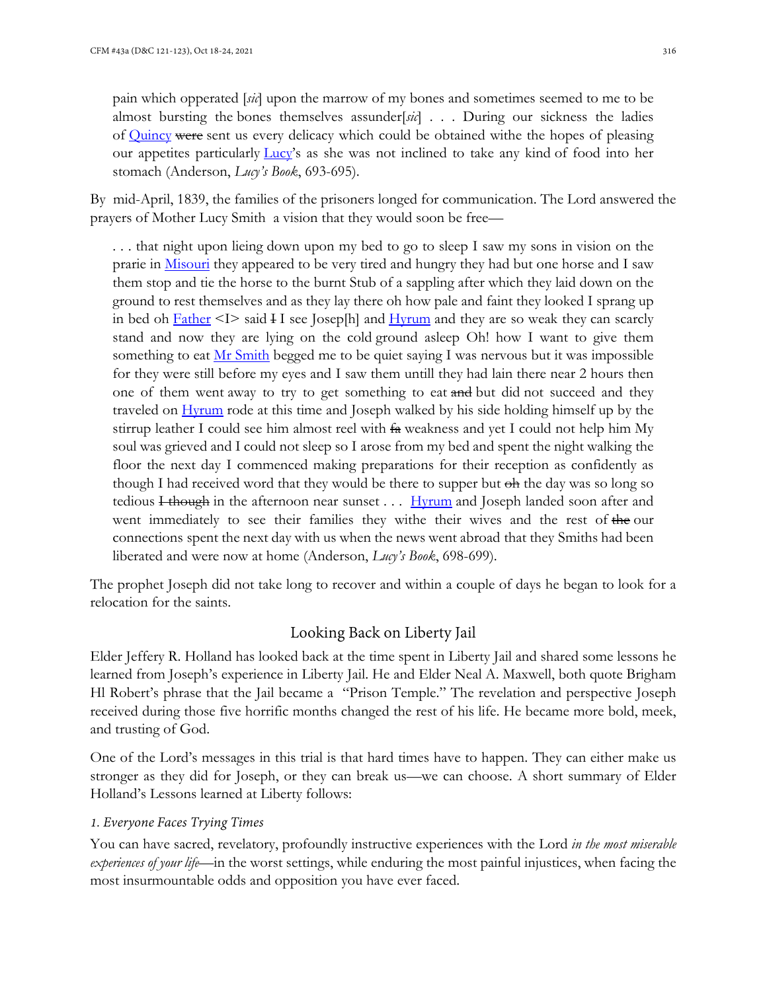pain which opperated [*sic*] upon the marrow of my bones and sometimes seemed to me to be almost bursting the bones themselves assunder[*sic*] . . . During our sickness the ladies of Quincy were sent us every delicacy which could be obtained withe the hopes of pleasing our appetites particularly Lucy's as she was not inclined to take any kind of food into her stomach (Anderson, *Lucy's Book*, 693-695).

By mid-April, 1839, the families of the prisoners longed for communication. The Lord answered the prayers of Mother Lucy Smith a vision that they would soon be free—

. . . that night upon lieing down upon my bed to go to sleep I saw my sons in vision on the prarie in Misouri they appeared to be very tired and hungry they had but one horse and I saw them stop and tie the horse to the burnt Stub of a sappling after which they laid down on the ground to rest themselves and as they lay there oh how pale and faint they looked I sprang up in bed oh  $Father < I>> said  $\overline{I}I$  see Joseph and Hvrum and they are so weak they can exactly$ </u> stand and now they are lying on the cold ground asleep Oh! how I want to give them something to eat  $Mr S$  Smith begged me to be quiet saying I was nervous but it was impossible</u> for they were still before my eyes and I saw them untill they had lain there near 2 hours then one of them went away to try to get something to eat and but did not succeed and they traveled on Hyrum rode at this time and Joseph walked by his side holding himself up by the stirrup leather I could see him almost reel with  $f_{\rm a}$  weakness and yet I could not help him My soul was grieved and I could not sleep so I arose from my bed and spent the night walking the floor the next day I commenced making preparations for their reception as confidently as though I had received word that they would be there to supper but  $\Theta$ h the day was so long so tedious I though in the afternoon near sunset  $\ldots$  Hyrum and Joseph landed soon after and went immediately to see their families they withe their wives and the rest of the our connections spent the next day with us when the news went abroad that they Smiths had been liberated and were now at home (Anderson, *Lucy's Book*, 698-699).

The prophet Joseph did not take long to recover and within a couple of days he began to look for a relocation for the saints.

### Looking Back on Liberty Jail

Elder Jeffery R. Holland has looked back at the time spent in Liberty Jail and shared some lessons he learned from Joseph's experience in Liberty Jail. He and Elder Neal A. Maxwell, both quote Brigham Hl Robert's phrase that the Jail became a "Prison Temple." The revelation and perspective Joseph received during those five horrific months changed the rest of his life. He became more bold, meek, and trusting of God.

One of the Lord's messages in this trial is that hard times have to happen. They can either make us stronger as they did for Joseph, or they can break us—we can choose. A short summary of Elder Holland's Lessons learned at Liberty follows:

#### *1. Everyone Faces Trying Times*

You can have sacred, revelatory, profoundly instructive experiences with the Lord *in the most miserable experiences of your life—*in the worst settings, while enduring the most painful injustices, when facing the most insurmountable odds and opposition you have ever faced.